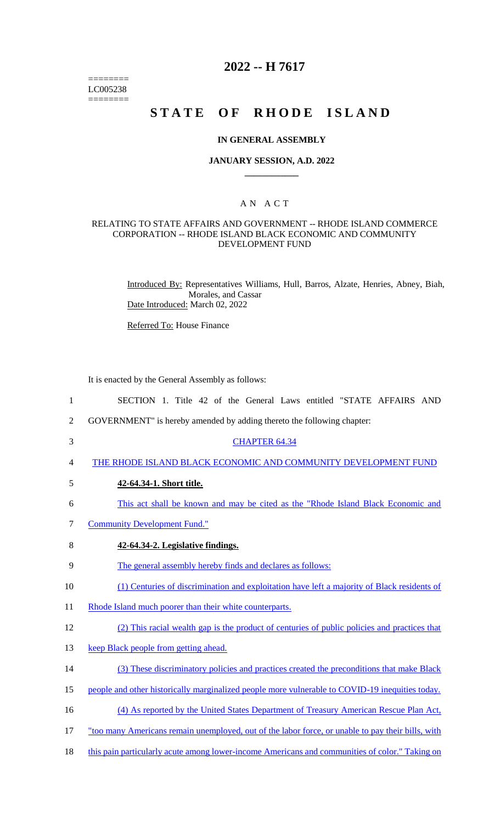======== LC005238 ========

# **2022 -- H 7617**

# STATE OF RHODE ISLAND

#### **IN GENERAL ASSEMBLY**

#### **JANUARY SESSION, A.D. 2022 \_\_\_\_\_\_\_\_\_\_\_\_**

## A N A C T

### RELATING TO STATE AFFAIRS AND GOVERNMENT -- RHODE ISLAND COMMERCE CORPORATION -- RHODE ISLAND BLACK ECONOMIC AND COMMUNITY DEVELOPMENT FUND

Introduced By: Representatives Williams, Hull, Barros, Alzate, Henries, Abney, Biah, Morales, and Cassar Date Introduced: March 02, 2022

Referred To: House Finance

It is enacted by the General Assembly as follows:

- 1 SECTION 1. Title 42 of the General Laws entitled "STATE AFFAIRS AND
- 2 GOVERNMENT" is hereby amended by adding thereto the following chapter:
- 3 CHAPTER 64.34
- 4 THE RHODE ISLAND BLACK ECONOMIC AND COMMUNITY DEVELOPMENT FUND
- 5 **42-64.34-1. Short title.**
- 6 This act shall be known and may be cited as the "Rhode Island Black Economic and
- 7 Community Development Fund."
- 8 **42-64.34-2. Legislative findings.**
- 9 The general assembly hereby finds and declares as follows:
- 10 (1) Centuries of discrimination and exploitation have left a majority of Black residents of
- 11 Rhode Island much poorer than their white counterparts.
- 12 (2) This racial wealth gap is the product of centuries of public policies and practices that
- 13 keep Black people from getting ahead.
- 14 (3) These discriminatory policies and practices created the preconditions that make Black
- 15 people and other historically marginalized people more vulnerable to COVID-19 inequities today.

16 (4) As reported by the United States Department of Treasury American Rescue Plan Act,

- 17 "too many Americans remain unemployed, out of the labor force, or unable to pay their bills, with
- 18 this pain particularly acute among lower-income Americans and communities of color." Taking on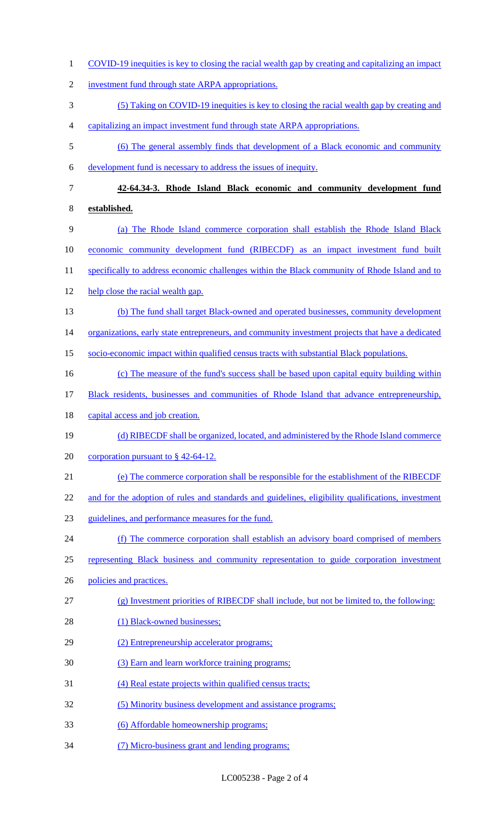COVID-19 inequities is key to closing the racial wealth gap by creating and capitalizing an impact investment fund through state ARPA appropriations. (5) Taking on COVID-19 inequities is key to closing the racial wealth gap by creating and capitalizing an impact investment fund through state ARPA appropriations. (6) The general assembly finds that development of a Black economic and community development fund is necessary to address the issues of inequity. **42-64.34-3. Rhode Island Black economic and community development fund established.**  (a) The Rhode Island commerce corporation shall establish the Rhode Island Black economic community development fund (RIBECDF) as an impact investment fund built 11 specifically to address economic challenges within the Black community of Rhode Island and to 12 help close the racial wealth gap. (b) The fund shall target Black-owned and operated businesses, community development 14 organizations, early state entrepreneurs, and community investment projects that have a dedicated socio-economic impact within qualified census tracts with substantial Black populations. (c) The measure of the fund's success shall be based upon capital equity building within Black residents, businesses and communities of Rhode Island that advance entrepreneurship, 18 capital access and job creation. (d) RIBECDF shall be organized, located, and administered by the Rhode Island commerce 20 corporation pursuant to § 42-64-12. (e) The commerce corporation shall be responsible for the establishment of the RIBECDF 22 and for the adoption of rules and standards and guidelines, eligibility qualifications, investment guidelines, and performance measures for the fund. (f) The commerce corporation shall establish an advisory board comprised of members 25 representing Black business and community representation to guide corporation investment 26 policies and practices. (g) Investment priorities of RIBECDF shall include, but not be limited to, the following: 28 (1) Black-owned businesses; (2) Entrepreneurship accelerator programs; 30 (3) Earn and learn workforce training programs; (4) Real estate projects within qualified census tracts; (5) Minority business development and assistance programs; (6) Affordable homeownership programs; (7) Micro-business grant and lending programs;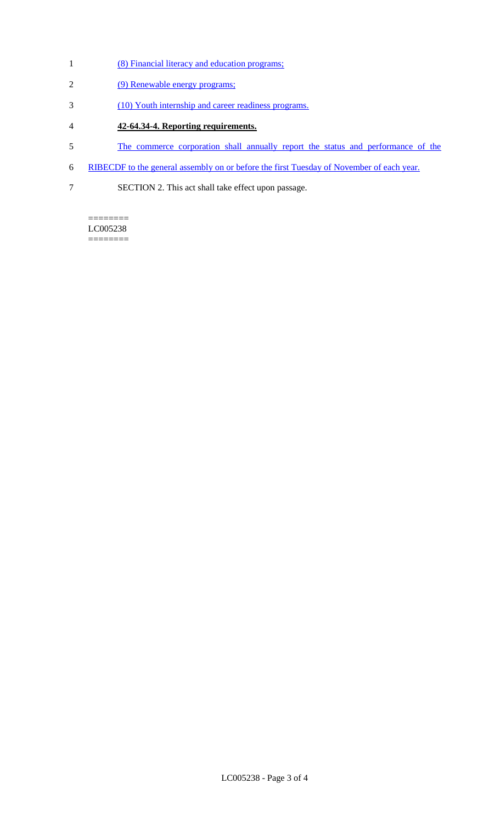- (8) Financial literacy and education programs;
- (9) Renewable energy programs;
- (10) Youth internship and career readiness programs.
- **42-64.34-4. Reporting requirements.**
- The commerce corporation shall annually report the status and performance of the
- RIBECDF to the general assembly on or before the first Tuesday of November of each year.
- SECTION 2. This act shall take effect upon passage.

======== LC005238  $=$